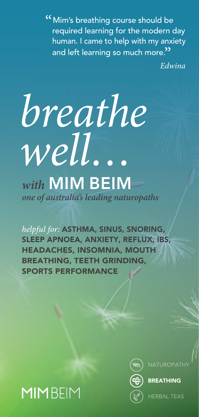"Mim's breathing course should be required learning for the modern day human. I came to help with my anxiety and left learning so much more."<br>ה

*Edwina*

# *breathe well… with* MIM BEIM *one of australia's leading naturopaths*

*helpful for:* ASTHMA, SINUS, SNORING, SLEEP APNOEA, ANXIETY, REFLUX, IBS, HEADACHES, INSOMNIA, MOUTH BREATHING, TEETH GRINDING, SPORTS PERFORMANCE





BREATHING

HERBAL TEAS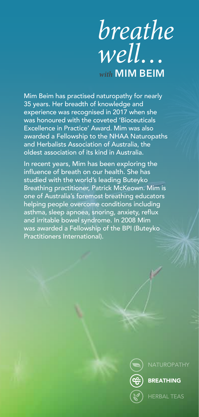## *breathe well… with* MIM BEIM

Mim Beim has practised naturopathy for nearly 35 years. Her breadth of knowledge and experience was recognised in 2017 when she was honoured with the coveted 'Bioceuticals Excellence in Practice' Award. Mim was also awarded a Fellowship to the NHAA Naturopaths and Herbalists Association of Australia, the oldest association of its kind in Australia.

In recent years, Mim has been exploring the influence of breath on our health. She has studied with the world's leading Buteyko Breathing practitioner, Patrick McKeown. Mim is one of Australia's foremost breathing educators helping people overcome conditions including asthma, sleep apnoea, snoring, anxiety, reflux and irritable bowel syndrome. In 2008 Mim was awarded a Fellowship of the BPI (Buteyko Practitioners International).



**NATUROPATHY** 

#### BREATHING

HERBAL TEAS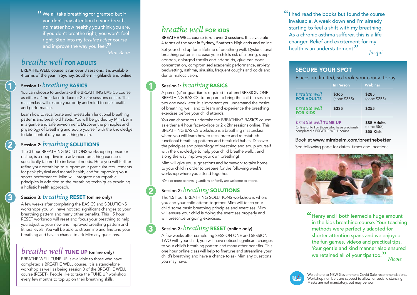**"We all take breathing for granted but if** you don't pay attention to your breath, no matter how healthy you think you are, if you don't breathe right, you won't feel right. Step into my *breathe better* course and improve the way you feel. $"$ 

*Mim Beim*

1

2

<u>3</u>

#### *breathe well* FOR ADULTS

BREATHE WELL course is run over 3 sessions. It is available 4 terms of the year in Sydney, Southern Highlands and online.

#### Session 1: *breathing* BASICS

1

2

3

You can choose to undertake the BREATHING BASICS course as either a 4 hour face-to-face or 2 x 2hr sessions online. This masterclass will restore your body and mind to peak health and performance.

Learn how to recalibrate and re-establish functional breathing patterns and break old habits. You will be guided by Mim Beim in a gentle and safe environment. Discover the principles and physiology of breathing and equip yourself with the knowledge to take control of your breathing health.

#### Session 2: *breathing* SOLUTIONS

The 3 hour BREATHING SOLUTIONS workshop in person or online, is a deep dive into advanced breathing exercises specifically tailored to individual needs. Here you will further refine your breathing to support your particular requirements for peak physical and mental health, and/or improving your sports performance. Mim will integrate naturopathic principles in addition to the breathing techniques providing a holistic health approach.

#### Session 3: *breathing* RESET (online only)

A few weeks after completing the BASICS and SOLUTIONS workshops you will have noticed significant changes to your breathing pattern and many other benefits. This 1.5 hour RESET workshop will reset and focus your breathing to help you adjust to your new and improved breathing pattern and fitness levels. You will be able to streamline and finetune your breathing and have a chance to ask Mim any questions.

#### *breathe well* TUNE UP (online only)

BREATHE WELL TUNE UP is available to those who have completed a BREATHE WELL course. It is a stand-alone workshop as well as being session 3 of the BREATHE WELL course (RESET). People like to take the TUNE UP workshop every few months to top up on their breathing skills.

### *breathe well* FOR KIDS

BREATHE WELL course is run over 3 sessions. It is available 4 terms of the year in Sydney, Southern Highlands and online.

Set your child up for a lifetime of breathing well. Dysfunctional breathing patterns increase your child's risk of snoring, sleep apnoea, enlarged tonsils and adenoids, glue ear, poor concentration, compromised academic performance, anxiety, bedwetting, asthma, sinusitis, frequent coughs and colds and dental malocclusion.

#### Session 1: *breathing* BASICS

A parent(s)\*or guardian is required to attend SESSION ONE BREATHING BASICS, to prepare to bring the child to session two one week later. It is important you understand the basics of breathing well, and to learn and experience the breathing exercises before your child attends.

You can choose to undertake the BREATHING BASICS course as either a 4 hour face-to-face or 2 x 2hr sessions online. This BREATHING BASICS workshop is a breathing masterclass where you will learn how to recalibrate and re-establish functional breathing patterns and break old habits. Discover the principles and physiology of breathing and equip yourself with the knowledge to help your child breathe well… and along the way improve your own breathing!

Mim will give you suggestions and homework to take home to your child in order to prepare for the following week's workshop where you attend together.

\*One or more parents, guardians or family are welcome to attend.

#### Session 2: *breathing* SOLUTIONS

The 1.5 hour BREATHING SOLUTIONS workshop is where you and your child attend together. Mim will teach your child some basic breathing principles and exercises. Mim will ensure your child is doing the exercises properly and will prescribe ongoing exercises.

#### Session 3: *breathing* RESET (online only)

A few weeks after completing SESSION ONE and SESSION TWO with your child, you will have noticed significant changes to your child's breathing pattern and many other benefits. This one hour online class will help to finetune and streamline your child's breathing and have a chance to ask Mim any questions you may have.

"I had read the books but found the course invaluable. A week down and I'm already starting to feel a shift with my breathing. As a chronic asthma sufferer, this is a life changer. Relief and excitement for my health is an understatement." *Jacqui*

#### SECURE YOUR SPOT

Places are limited, so book your course today.

|                                            | In Person    | Webinar      |
|--------------------------------------------|--------------|--------------|
| breathe well                               | \$365        | \$285        |
| <b>FOR ADULTS</b>                          | (conc \$335) | (conc \$255) |
| breathe well<br><b>FOR KIDS</b>            | \$335        | \$255        |
| breathe well TUNE UP                       | \$85 Adults  |              |
| Online only. For those who have previously | (conc \$55)  |              |
| completed a BREATHE WELL course            | \$55 Kids    |              |

#### Book at www.mimbeim.com/breathebetter

See following page for dates, times and locations



**"**Henry and I both learned a huge amount in the kids breathing course. Your teaching methods were perfectly adapted for shorter attention spans and we enjoyed the fun games, videos and practical tips. Your gentle and kind manner also ensured we retained all of your tips too." *Nicole*

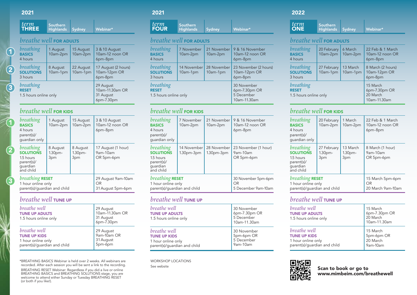#### 2021

1

2

3

1

 $\|y\|_{\ell}$ 

2

<u>3</u>

|  | $\tau$ term<br><b>THREE</b> | Southern<br>Highlands Sydney |  | Webinar* |
|--|-----------------------------|------------------------------|--|----------|
|--|-----------------------------|------------------------------|--|----------|

#### *breathe well* FOR ADULTS

| breathing<br><b>BASICS</b><br>4 hours              | 1 August<br>10am-2pm | 15 August<br>10am-2pm | 3 & 10 August<br>10am-12 noon OR<br>6pm-8pm             |
|----------------------------------------------------|----------------------|-----------------------|---------------------------------------------------------|
| <i>breathing</i><br><b>SOLUTIONS</b><br>3 hours    | 8 August<br>10am-1pm | 22 August<br>10am-1pm | 17 August (2 hours)<br>10am-12pm OR<br>6pm-8pm          |
| breathing<br><b>RESET</b><br>1.5 hours online only |                      |                       | 29 August<br>10am-11.30am OR<br>31 August<br>6pm-7.30pm |

#### *breathe well* FOR KIDS

| breathing<br><b>BASICS</b><br>4 hours<br>parent(s)/<br>quardian only              | 1 August<br>10am-2pm                  | 15 August<br>10am-2pm                 | 3 & 10 August<br>10am-12 noon OR<br>6pm-8pm   |
|-----------------------------------------------------------------------------------|---------------------------------------|---------------------------------------|-----------------------------------------------|
| breathing<br><b>SOLUTIONS</b><br>1.5 hours<br>parent(s)/<br>quardian<br>and child | 8 August<br>1.30 <sub>pm</sub><br>3pm | 8 August<br>1.30 <sub>pm</sub><br>3pm | 17 August (1 hour)<br>9am-10am<br>OR 5pm-6pm  |
| breathing <b>RESET</b><br>1 hour online only<br>parent(s)/guardian and child      |                                       |                                       | 29 August 9am-10am<br>OR<br>31 August 5pm-6pm |

#### *breathe well* TUNE UP

| breathe well<br><b>TUNE UP ADULTS</b><br>1.5 hours online only                            | 29 August<br>10am-11.30am OR<br>31 August<br>6pm-7.30pm |
|-------------------------------------------------------------------------------------------|---------------------------------------------------------|
| breathe well<br><b>TUNE UP KIDS</b><br>1 hour online only<br>parent(s)/guardian and child | 29 August<br>9am-10am OR<br>31 August<br>5pm-6pm        |

\*BREATHING BASICS Webinar is held over 2 weeks. All webinars are recorded. After each session you will be sent a link to the recording. BREATHING RESET Webinar: Regardless if you did a live or online BREATHING BASICS and BREATHING SOLUTIONS stage, you are welcome to attend either Sunday or Tuesday BREATHING RESET (or both if you like!).

#### 2021

| term<br><b>FOUR</b> | Southern<br>Highlands | Sydney | Webinar* |
|---------------------|-----------------------|--------|----------|
|                     |                       |        |          |

#### *breathe well* FOR ADULTS

| breathing<br><b>BASICS</b><br>4 hours              | 7 November<br>10am-2pm  | 21 November<br>10am-2pm | 9 & 16 November<br>10am-12 noon OR<br>6pm-8pm              |
|----------------------------------------------------|-------------------------|-------------------------|------------------------------------------------------------|
| breathing<br><b>SOLUTIONS</b><br>3 hours           | 14 November<br>10am-1pm | 28 November<br>10am-1pm | 23 November (2 hours)<br>10am-12pm OR<br>6pm-8pm           |
| breathing<br><b>RESET</b><br>1.5 hours online only |                         |                         | 30 November<br>6pm-7.30pm OR<br>5 December<br>10am-11.30am |

#### *breathe well* FOR KIDS

| breathing<br><b>BASICS</b><br>4 hours<br>parent(s)/<br>quardian only              | 7 November<br>10am-2pm      | 21 November<br>10am-2pm     | 9 & 16 November<br>10am-12 noon OR<br>6pm-8pm    |
|-----------------------------------------------------------------------------------|-----------------------------|-----------------------------|--------------------------------------------------|
| breathing<br><b>SOLUTIONS</b><br>1.5 hours<br>parent(s)/<br>quardian<br>and child | 14 November<br>$1.30pm-3pm$ | 28 November<br>$1.30pm-3pm$ | 23 November (1 hour)<br>9am-10am<br>OR 5pm-6pm   |
| <i>breathing</i> RESET<br>1 hour online only<br>parent(s)/guardian and child      |                             |                             | 30 November 5pm-6pm<br>OR<br>5 December 9am-10am |

#### *breathe well* TUNE UP

| <i>breathe</i> well<br><b>TUNE UP ADULTS</b><br>1.5 hours online only | 30 November<br>6pm-7.30pm OR<br>5 December<br>10am-11.30am |
|-----------------------------------------------------------------------|------------------------------------------------------------|
| breathe well                                                          | 30 November                                                |
| <b>TUNE UP KIDS</b>                                                   | 5pm-6pm OR                                                 |
| 1 hour online only                                                    | 5 December                                                 |
| parent(s)/quardian and child                                          | 9am-10am                                                   |

WORKSHOP LOCATIONS See website

#### 2022

| <i>term</i><br>Southern<br><b>ONE</b><br>Highlands Sydney<br>Webinar* |  |
|-----------------------------------------------------------------------|--|
|-----------------------------------------------------------------------|--|

#### *breathe well* FOR ADULTS

| <b>breathing</b><br><b>BASICS</b><br>4 hours       | 20 February<br>10am-2pm | 6 March<br>10am-2pm  | 22 Feb & 1 March<br>10am-12 noon OR<br>6pm-8pm        |
|----------------------------------------------------|-------------------------|----------------------|-------------------------------------------------------|
| <i>breathing</i><br><b>SOLUTIONS</b><br>3 hours    | 27 February<br>10am-1pm | 13 March<br>10am-1pm | 8 March (2 hours)<br>10am-12pm OR<br>6pm-8pm          |
| breathing<br><b>RESET</b><br>1.5 hours online only |                         |                      | 15 March<br>6pm-7.30pm OR<br>20 March<br>10am-11.30am |

#### *breathe well* FOR KIDS

| breathing<br><b>BASICS</b><br>4 hours<br>parent(s)/<br>quardian only              | 20 February<br>10am-2pm                  | 1 March<br>10am-2pm                   | 22 Feb & 1 March<br>10am-12 noon OR<br>6pm-8pm |
|-----------------------------------------------------------------------------------|------------------------------------------|---------------------------------------|------------------------------------------------|
| breathing<br><b>SOLUTIONS</b><br>1.5 hours<br>parent(s)/<br>quardian<br>and child | 27 February<br>1.30 <sub>pm</sub><br>3pm | 13 March<br>1.30 <sub>pm</sub><br>3pm | 8 March (1 hour)<br>9am-10am<br>OR 5pm-6pm     |
| breathing <b>RESET</b><br>1 hour online only<br>parent(s)/quardian and child      |                                          |                                       | 15 March 5pm-6pm<br>OR<br>20 March 9am-10am    |

#### *breathe well* TUNE UP

| breathe well<br><b>TUNE UP ADULTS</b><br>1.5 hours online only                            | 15 March<br>6pm-7.30pm OR<br>20 March<br>10am-11.30am |
|-------------------------------------------------------------------------------------------|-------------------------------------------------------|
| breathe well<br><b>TUNE UP KIDS</b><br>1 hour online only<br>parent(s)/quardian and child | 15 March<br>5pm-6pm OR<br>20 March<br>9am-10am        |

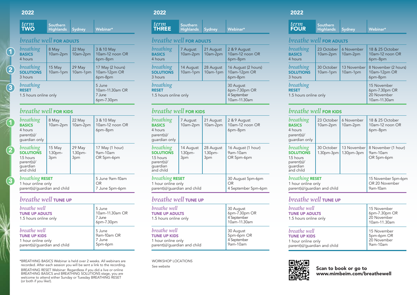#### 2022

1

2

3

1

2

<u>3</u>

| <i>term</i><br>Southern<br><b>TWO</b><br>Highlands Sydney<br>Webinar* |  |
|-----------------------------------------------------------------------|--|
|-----------------------------------------------------------------------|--|

#### *breathe well* FOR ADULTS

| breathing<br><b>BASICS</b><br>4 hours              | 8 May<br>10am-2pm                                 | $22$ May<br>10am-2pm | 3 & 10 May<br>10am-12 noon OR<br>6pm-8pm    |
|----------------------------------------------------|---------------------------------------------------|----------------------|---------------------------------------------|
| breathing<br><b>SOLUTIONS</b><br>3 hours           | $15$ May<br>10am-1pm                              | 29 May<br>10am-1pm   | 17 May (2 hours)<br>10am-12pm OR<br>6pm-8pm |
| breathing<br><b>RESET</b><br>1.5 hours online only | 5 June<br>10am-11.30am OR<br>7 June<br>6pm-7.30pm |                      |                                             |

#### *breathe well* FOR KIDS

| breathing<br><b>BASICS</b><br>4 hours<br>parent(s)/<br>quardian only              | 8 May<br>10am-2pm                   | 22 May<br>10am-2pm                  | 3 & 10 May<br>10am-12 noon OR<br>6pm-8pm  |
|-----------------------------------------------------------------------------------|-------------------------------------|-------------------------------------|-------------------------------------------|
| breathing<br><b>SOLUTIONS</b><br>1.5 hours<br>parent(s)/<br>quardian<br>and child | 15 May<br>1.30 <sub>pm</sub><br>3pm | 29 May<br>1.30 <sub>pm</sub><br>3pm | 17 May (1 hour)<br>9am-10am<br>OR 5pm-6pm |
| breathing <b>RESET</b><br>1 hour online only<br>parent(s)/quardian and child      |                                     |                                     | 5 June 9am-10am<br>OR<br>7 June 5pm-6pm   |

#### *breathe well* TUNE UP

| breathe well<br><b>TUNE UP ADULTS</b><br>1.5 hours online only                                   | 5 June<br>10am-11.30am OR<br>7 June<br>6pm-7.30pm |
|--------------------------------------------------------------------------------------------------|---------------------------------------------------|
| <i>breathe well</i><br><b>TUNE UP KIDS</b><br>1 hour online only<br>parent(s)/guardian and child | 5 June<br>9am-10am OR<br>7 June<br>5pm-6pm        |

\*BREATHING BASICS Webinar is held over 2 weeks. All webinars are recorded. After each session you will be sent a link to the recording. BREATHING RESET Webinar: Regardless if you did a live or online BREATHING BASICS and BREATHING SOLUTIONS stage, you are welcome to attend either Sunday or Tuesday BREATHING RESET (or both if you like!).

#### 2022

| term<br>Southern<br><b>THREE</b> | <b>Highlands</b> Sydney | Webinar* |
|----------------------------------|-------------------------|----------|
|----------------------------------|-------------------------|----------|

#### *breathe well* FOR ADULTS

| breathing<br><b>BASICS</b><br>4 hours              | 7 August<br>10am-2pm  | 21 August<br>10am-2pm | 2 & 9 August<br>10am-12 noon OR<br>6pm-8pm                |
|----------------------------------------------------|-----------------------|-----------------------|-----------------------------------------------------------|
| breathing<br><b>SOLUTIONS</b><br>3 hours           | 14 August<br>10am-1pm | 28 August<br>10am-1pm | 16 August (2 hours)<br>10am-12pm OR<br>6pm-8pm            |
| breathing<br><b>RESET</b><br>1.5 hours online only |                       |                       | 30 August<br>6pm-7.30pm OR<br>4 September<br>10am-11.30am |

#### *breathe well* FOR KIDS

| breathing<br><b>BASICS</b><br>4 hours<br>parent(s)/<br>quardian only              | 7 August<br>10am-2pm                   | 21 August<br>10am-2pm                  | 2 & 9 August<br>10am-12 noon OR<br>6pm-8pm            |
|-----------------------------------------------------------------------------------|----------------------------------------|----------------------------------------|-------------------------------------------------------|
| breathing<br><b>SOLUTIONS</b><br>1.5 hours<br>parent(s)/<br>quardian<br>and child | 14 August<br>1.30 <sub>pm</sub><br>3pm | 28 August<br>1.30 <sub>pm</sub><br>3pm | 16 August (1 hour)<br>9am-10am<br>OR 5pm-6pm          |
| breathing RESET<br>1 hour online only<br>parent(s)/guardian and child             |                                        |                                        | 30 August 5pm-6pm<br><b>OR</b><br>4 September 5pm-6pm |

#### *breathe well* TUNE UP

| breathe well<br><b>TUNE UP ADULTS</b><br>1.5 hours online only                            | 30 August<br>6pm-7.30pm OR<br>4 September<br>10am-11.30am |
|-------------------------------------------------------------------------------------------|-----------------------------------------------------------|
| breathe well<br><b>TUNE UP KIDS</b><br>1 hour online only<br>parent(s)/guardian and child | 30 August<br>5pm-6pm OR<br>4 September<br>9am-10am        |

WORKSHOP LOCATIONS See website

#### 2022

| term<br><b>FOUR</b> | Southern<br>Highlands ' | Sydney | Webinar* |
|---------------------|-------------------------|--------|----------|
|                     |                         |        |          |

#### *breathe well* FOR ADULTS

| breathing<br><b>BASICS</b><br>4 hours              | 23 October<br>10am-2pm | 6 November<br>10am-2pm  | 18 & 25 October<br>10am-12 noon OR<br>6pm-8pm               |
|----------------------------------------------------|------------------------|-------------------------|-------------------------------------------------------------|
| breathing<br><b>SOLUTIONS</b><br>3 hours           | 30 October<br>10am-1pm | 13 November<br>10am-1pm | 8 November (2 hours)<br>10am-12pm OR<br>6pm-8pm             |
| breathing<br><b>RESET</b><br>1.5 hours online only |                        |                         | 15 November<br>6pm-7.30pm OR<br>20 November<br>10am-11.30am |

#### *breathe well* FOR KIDS

| breathing<br><b>BASICS</b><br>4 hours<br>parent(s)/<br>quardian only              | 23 October<br>10am-2pm     | 6 November<br>10am-2pm      | 18 & 25 October<br>10am-12 noon OR<br>6pm-8pm     |
|-----------------------------------------------------------------------------------|----------------------------|-----------------------------|---------------------------------------------------|
| breathing<br><b>SOLUTIONS</b><br>1.5 hours<br>parent(s)/<br>quardian<br>and child | 30 October<br>$1.30pm-3pm$ | 13 November<br>$1.30pm-3pm$ | 8 November (1 hour)<br>9am-10am<br>OR 5pm-6pm     |
| breathing RESET<br>1 hour online only<br>parent(s)/quardian and child             |                            |                             | 15 November 5pm-6pm<br>OR 20 November<br>9am-10am |

#### *breathe well* TUNE UP

| breathe well<br><b>TUNE UP ADULTS</b><br>1.5 hours online only | 15 November<br>6pm-7.30pm OR<br>20 November<br>10am-11.30am |
|----------------------------------------------------------------|-------------------------------------------------------------|
| breathe well                                                   | 15 November                                                 |
| <b>TUNE UP KIDS</b>                                            | 5pm-6pm OR                                                  |
| 1 hour online only                                             | 20 November                                                 |
| parent(s)/guardian and child                                   | 9am-10am                                                    |